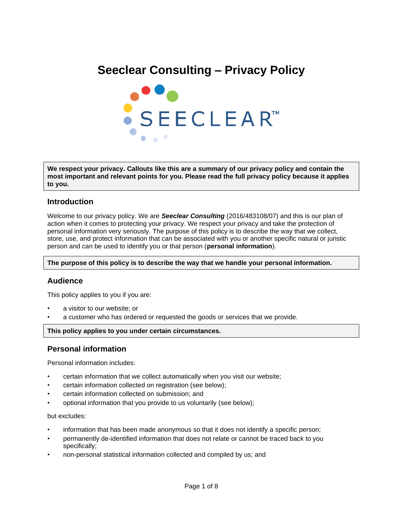# **Seeclear Consulting – Privacy Policy**



**We respect your privacy. Callouts like this are a summary of our privacy policy and contain the most important and relevant points for you. Please read the full privacy policy because it applies to you.**

## **Introduction**

Welcome to our privacy policy. We are *Seeclear Consulting* (2016/483108/07) and this is our plan of action when it comes to protecting your privacy. We respect your privacy and take the protection of personal information very seriously. The purpose of this policy is to describe the way that we collect, store, use, and protect information that can be associated with you or another specific natural or juristic person and can be used to identify you or that person (**personal information**).

**The purpose of this policy is to describe the way that we handle your personal information.**

## **Audience**

This policy applies to you if you are:

- a visitor to our website; or
- a customer who has ordered or requested the goods or services that we provide.

#### **This policy applies to you under certain circumstances.**

## **Personal information**

Personal information includes:

- certain information that we collect automatically when you visit our website;
- certain information collected on registration (see below);
- certain information collected on submission; and
- optional information that you provide to us voluntarily (see below);

but excludes:

- information that has been made anonymous so that it does not identify a specific person;
- permanently de-identified information that does not relate or cannot be traced back to you specifically;
- non-personal statistical information collected and compiled by us; and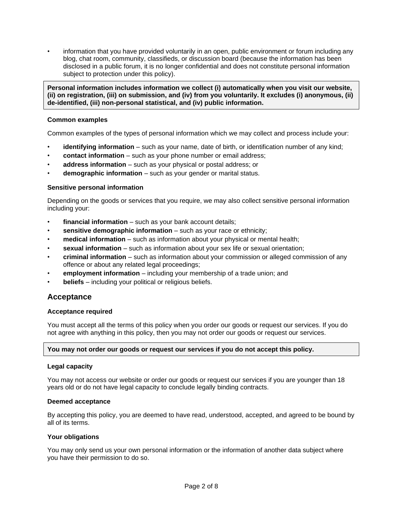• information that you have provided voluntarily in an open, public environment or forum including any blog, chat room, community, classifieds, or discussion board (because the information has been disclosed in a public forum, it is no longer confidential and does not constitute personal information subject to protection under this policy).

**Personal information includes information we collect (i) automatically when you visit our website, (ii) on registration, (iii) on submission, and (iv) from you voluntarily. It excludes (i) anonymous, (ii) de-identified, (iii) non-personal statistical, and (iv) public information.**

#### **Common examples**

Common examples of the types of personal information which we may collect and process include your:

- **identifying information** such as your name, date of birth, or identification number of any kind;
- **contact information** such as your phone number or email address;
- **address information** such as your physical or postal address; or
- **demographic information** such as your gender or marital status.

#### **Sensitive personal information**

Depending on the goods or services that you require, we may also collect sensitive personal information including your:

- financial information such as your bank account details;
- **sensitive demographic information** such as your race or ethnicity;
- **medical information** such as information about your physical or mental health;
- **sexual information** such as information about your sex life or sexual orientation;
- **criminal information** such as information about your commission or alleged commission of any offence or about any related legal proceedings;
- **employment information** including your membership of a trade union; and
- **beliefs** including your political or religious beliefs.

## **Acceptance**

#### **Acceptance required**

You must accept all the terms of this policy when you order our goods or request our services. If you do not agree with anything in this policy, then you may not order our goods or request our services.

#### **You may not order our goods or request our services if you do not accept this policy.**

#### **Legal capacity**

You may not access our website or order our goods or request our services if you are younger than 18 years old or do not have legal capacity to conclude legally binding contracts.

#### **Deemed acceptance**

By accepting this policy, you are deemed to have read, understood, accepted, and agreed to be bound by all of its terms.

#### **Your obligations**

You may only send us your own personal information or the information of another data subject where you have their permission to do so.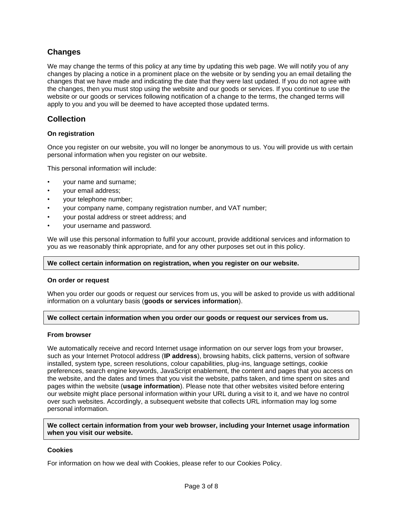# **Changes**

We may change the terms of this policy at any time by updating this web page. We will notify you of any changes by placing a notice in a prominent place on the website or by sending you an email detailing the changes that we have made and indicating the date that they were last updated. If you do not agree with the changes, then you must stop using the website and our goods or services. If you continue to use the website or our goods or services following notification of a change to the terms, the changed terms will apply to you and you will be deemed to have accepted those updated terms.

# **Collection**

## **On registration**

Once you register on our website, you will no longer be anonymous to us. You will provide us with certain personal information when you register on our website.

This personal information will include:

- your name and surname;
- your email address;
- your telephone number;
- your company name, company registration number, and VAT number;
- your postal address or street address; and
- your username and password.

We will use this personal information to fulfil your account, provide additional services and information to you as we reasonably think appropriate, and for any other purposes set out in this policy.

#### **We collect certain information on registration, when you register on our website.**

#### **On order or request**

When you order our goods or request our services from us, you will be asked to provide us with additional information on a voluntary basis (**goods or services information**).

#### **We collect certain information when you order our goods or request our services from us.**

#### **From browser**

We automatically receive and record Internet usage information on our server logs from your browser, such as your Internet Protocol address (**IP address**), browsing habits, click patterns, version of software installed, system type, screen resolutions, colour capabilities, plug-ins, language settings, cookie preferences, search engine keywords, JavaScript enablement, the content and pages that you access on the website, and the dates and times that you visit the website, paths taken, and time spent on sites and pages within the website (**usage information**). Please note that other websites visited before entering our website might place personal information within your URL during a visit to it, and we have no control over such websites. Accordingly, a subsequent website that collects URL information may log some personal information.

**We collect certain information from your web browser, including your Internet usage information when you visit our website.**

#### **Cookies**

For information on how we deal with Cookies, please refer to our Cookies Policy.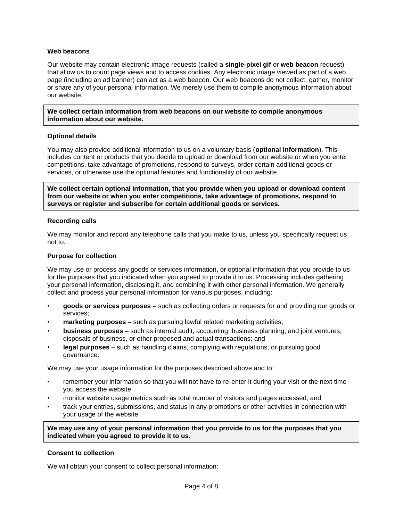#### **Web beacons**

Our website may contain electronic image requests (called a **single-pixel gif** or **web beacon** request) that allow us to count page views and to access cookies. Any electronic image viewed as part of a web page (including an ad banner) can act as a web beacon. Our web beacons do not collect, gather, monitor or share any of your personal information. We merely use them to compile anonymous information about our website.

**We collect certain information from web beacons on our website to compile anonymous information about our website.**

#### **Optional details**

You may also provide additional information to us on a voluntary basis (**optional information**). This includes content or products that you decide to upload or download from our website or when you enter competitions, take advantage of promotions, respond to surveys, order certain additional goods or services, or otherwise use the optional features and functionality of our website.

**We collect certain optional information, that you provide when you upload or download content from our website or when you enter competitions, take advantage of promotions, respond to surveys or register and subscribe for certain additional goods or services.**

#### **Recording calls**

We may monitor and record any telephone calls that you make to us, unless you specifically request us not to.

#### **Purpose for collection**

We may use or process any goods or services information, or optional information that you provide to us for the purposes that you indicated when you agreed to provide it to us. Processing includes gathering your personal information, disclosing it, and combining it with other personal information. We generally collect and process your personal information for various purposes, including:

- **goods or services purposes** such as collecting orders or requests for and providing our goods or services;
- **marketing purposes** such as pursuing lawful related marketing activities;
- **business purposes** such as internal audit, accounting, business planning, and joint ventures, disposals of business, or other proposed and actual transactions; and
- **legal purposes** such as handling claims, complying with regulations, or pursuing good governance.

We may use your usage information for the purposes described above and to:

- remember your information so that you will not have to re-enter it during your visit or the next time you access the website;
- monitor website usage metrics such as total number of visitors and pages accessed; and
- track your entries, submissions, and status in any promotions or other activities in connection with your usage of the website.

**We may use any of your personal information that you provide to us for the purposes that you indicated when you agreed to provide it to us.**

#### **Consent to collection**

We will obtain your consent to collect personal information: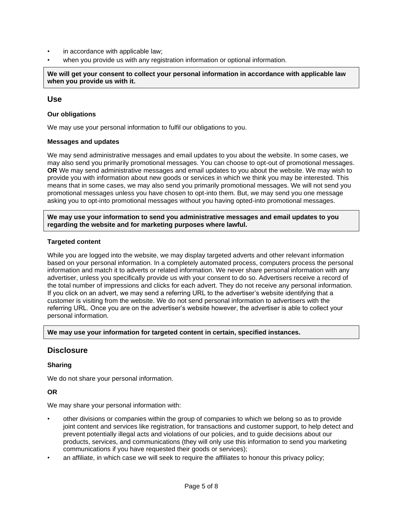- in accordance with applicable law;
- when you provide us with any registration information or optional information.

**We will get your consent to collect your personal information in accordance with applicable law when you provide us with it.**

## **Use**

#### **Our obligations**

We may use your personal information to fulfil our obligations to you.

#### **Messages and updates**

We may send administrative messages and email updates to you about the website. In some cases, we may also send you primarily promotional messages. You can choose to opt-out of promotional messages. **OR** We may send administrative messages and email updates to you about the website. We may wish to provide you with information about new goods or services in which we think you may be interested. This means that in some cases, we may also send you primarily promotional messages. We will not send you promotional messages unless you have chosen to opt-into them. But, we may send you one message asking you to opt-into promotional messages without you having opted-into promotional messages.

**We may use your information to send you administrative messages and email updates to you regarding the website and for marketing purposes where lawful.**

#### **Targeted content**

While you are logged into the website, we may display targeted adverts and other relevant information based on your personal information. In a completely automated process, computers process the personal information and match it to adverts or related information. We never share personal information with any advertiser, unless you specifically provide us with your consent to do so. Advertisers receive a record of the total number of impressions and clicks for each advert. They do not receive any personal information. If you click on an advert, we may send a referring URL to the advertiser's website identifying that a customer is visiting from the website. We do not send personal information to advertisers with the referring URL. Once you are on the advertiser's website however, the advertiser is able to collect your personal information.

**We may use your information for targeted content in certain, specified instances.**

## **Disclosure**

#### **Sharing**

We do not share your personal information.

#### **OR**

We may share your personal information with:

- other divisions or companies within the group of companies to which we belong so as to provide joint content and services like registration, for transactions and customer support, to help detect and prevent potentially illegal acts and violations of our policies, and to guide decisions about our products, services, and communications (they will only use this information to send you marketing communications if you have requested their goods or services);
- an affiliate, in which case we will seek to require the affiliates to honour this privacy policy;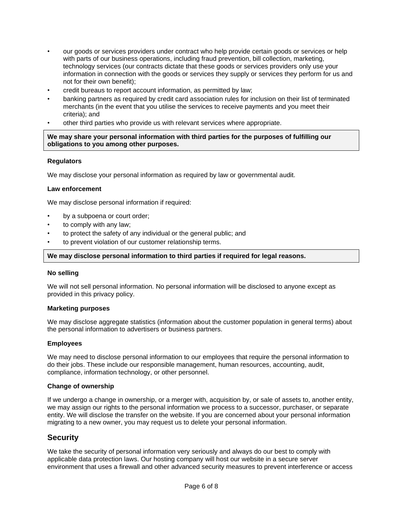- our goods or services providers under contract who help provide certain goods or services or help with parts of our business operations, including fraud prevention, bill collection, marketing, technology services (our contracts dictate that these goods or services providers only use your information in connection with the goods or services they supply or services they perform for us and not for their own benefit);
- credit bureaus to report account information, as permitted by law;
- banking partners as required by credit card association rules for inclusion on their list of terminated merchants (in the event that you utilise the services to receive payments and you meet their criteria); and
- other third parties who provide us with relevant services where appropriate.

**We may share your personal information with third parties for the purposes of fulfilling our obligations to you among other purposes.**

#### **Regulators**

We may disclose your personal information as required by law or governmental audit.

#### **Law enforcement**

We may disclose personal information if required:

- by a subpoena or court order;
- to comply with any law;
- to protect the safety of any individual or the general public; and
- to prevent violation of our customer relationship terms.

#### **We may disclose personal information to third parties if required for legal reasons.**

#### **No selling**

We will not sell personal information. No personal information will be disclosed to anyone except as provided in this privacy policy.

#### **Marketing purposes**

We may disclose aggregate statistics (information about the customer population in general terms) about the personal information to advertisers or business partners.

#### **Employees**

We may need to disclose personal information to our employees that require the personal information to do their jobs. These include our responsible management, human resources, accounting, audit, compliance, information technology, or other personnel.

#### **Change of ownership**

If we undergo a change in ownership, or a merger with, acquisition by, or sale of assets to, another entity, we may assign our rights to the personal information we process to a successor, purchaser, or separate entity. We will disclose the transfer on the website. If you are concerned about your personal information migrating to a new owner, you may request us to delete your personal information.

## **Security**

We take the security of personal information very seriously and always do our best to comply with applicable data protection laws. Our hosting company will host our website in a secure server environment that uses a firewall and other advanced security measures to prevent interference or access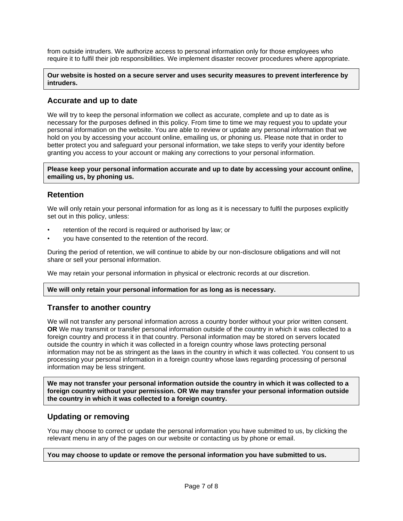from outside intruders. We authorize access to personal information only for those employees who require it to fulfil their job responsibilities. We implement disaster recover procedures where appropriate.

#### **Our website is hosted on a secure server and uses security measures to prevent interference by intruders.**

## **Accurate and up to date**

We will try to keep the personal information we collect as accurate, complete and up to date as is necessary for the purposes defined in this policy. From time to time we may request you to update your personal information on the website. You are able to review or update any personal information that we hold on you by accessing your account online, emailing us, or phoning us. Please note that in order to better protect you and safeguard your personal information, we take steps to verify your identity before granting you access to your account or making any corrections to your personal information.

**Please keep your personal information accurate and up to date by accessing your account online, emailing us, by phoning us.**

# **Retention**

We will only retain your personal information for as long as it is necessary to fulfil the purposes explicitly set out in this policy, unless:

- retention of the record is required or authorised by law; or
- you have consented to the retention of the record.

During the period of retention, we will continue to abide by our non-disclosure obligations and will not share or sell your personal information.

We may retain your personal information in physical or electronic records at our discretion.

## **We will only retain your personal information for as long as is necessary.**

## **Transfer to another country**

We will not transfer any personal information across a country border without your prior written consent. **OR** We may transmit or transfer personal information outside of the country in which it was collected to a foreign country and process it in that country. Personal information may be stored on servers located outside the country in which it was collected in a foreign country whose laws protecting personal information may not be as stringent as the laws in the country in which it was collected. You consent to us processing your personal information in a foreign country whose laws regarding processing of personal information may be less stringent.

**We may not transfer your personal information outside the country in which it was collected to a foreign country without your permission. OR We may transfer your personal information outside the country in which it was collected to a foreign country.**

## **Updating or removing**

You may choose to correct or update the personal information you have submitted to us, by clicking the relevant menu in any of the pages on our website or contacting us by phone or email.

## **You may choose to update or remove the personal information you have submitted to us.**